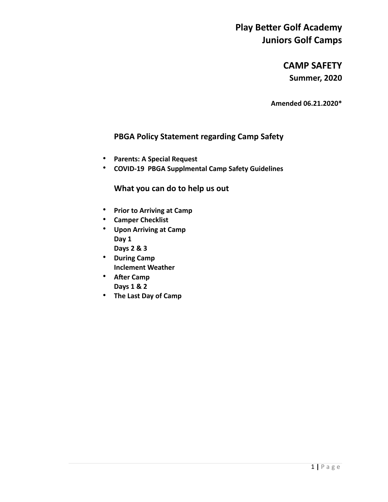**CAMP SAFETY Summer, 2020** 

**Amended 06.21.2020\*** 

### **PBGA Policy Statement regarding Camp Safety**

- **Parents: A Special Request**
- **COVID-19 PBGA Supplmental Camp Safety Guidelines**

### **What you can do to help us out**

- **Prior to Arriving at Camp**
- **Camper Checklist**
- **Upon Arriving at Camp Day 1 Days 2 & 3**
- **During Camp Inclement Weather**
- After Camp **Days 1 & 2**
- **The Last Day of Camp**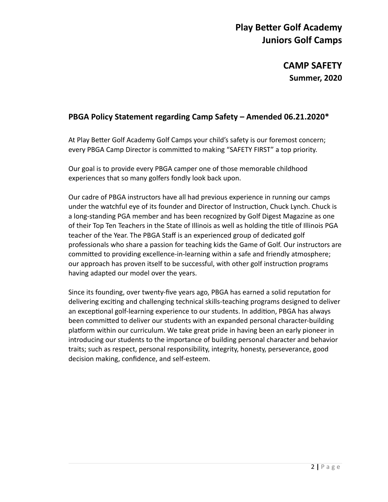**CAMP SAFETY Summer, 2020** 

### **PBGA Policy Statement regarding Camp Safety – Amended 06.21.2020\***

At Play Better Golf Academy Golf Camps your child's safety is our foremost concern; every PBGA Camp Director is committed to making "SAFETY FIRST" a top priority.

Our goal is to provide every PBGA camper one of those memorable childhood experiences that so many golfers fondly look back upon.

Our cadre of PBGA instructors have all had previous experience in running our camps under the watchful eye of its founder and Director of Instruction, Chuck Lynch. Chuck is a long-standing PGA member and has been recognized by Golf Digest Magazine as one of their Top Ten Teachers in the State of Illinois as well as holding the title of Illinois PGA teacher of the Year. The PBGA Staff is an experienced group of dedicated golf professionals who share a passion for teaching kids the Game of Golf. Our instructors are committed to providing excellence-in-learning within a safe and friendly atmosphere; our approach has proven itself to be successful, with other golf instruction programs having adapted our model over the years.

Since its founding, over twenty-five years ago, PBGA has earned a solid reputation for delivering exciting and challenging technical skills-teaching programs designed to deliver an exceptional golf-learning experience to our students. In addition, PBGA has always been committed to deliver our students with an expanded personal character-building platform within our curriculum. We take great pride in having been an early pioneer in introducing our students to the importance of building personal character and behavior traits; such as respect, personal responsibility, integrity, honesty, perseverance, good decision making, confidence, and self-esteem.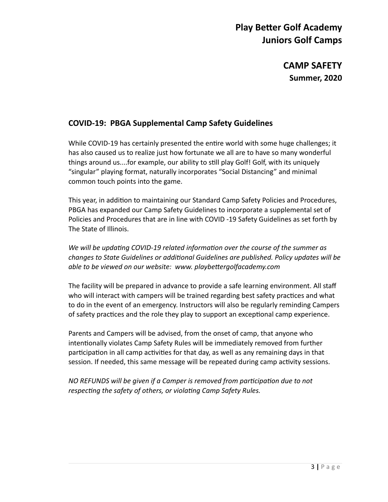**CAMP SAFETY Summer, 2020** 

### **COVID-19: PBGA Supplemental Camp Safety Guidelines**

While COVID-19 has certainly presented the entire world with some huge challenges; it has also caused us to realize just how fortunate we all are to have so many wonderful things around us....for example, our ability to still play Golf! Golf, with its uniquely "singular" playing format, naturally incorporates "Social Distancing" and minimal common touch points into the game.

This year, in addition to maintaining our Standard Camp Safety Policies and Procedures, PBGA has expanded our Camp Safety Guidelines to incorporate a supplemental set of Policies and Procedures that are in line with COVID -19 Safety Guidelines as set forth by The State of Illinois.

*We will be updating COVID-19 related information over the course of the summer as* changes to State Guidelines or additional Guidelines are published. Policy updates will be able to be viewed on our website: www. playbettergolfacademy.com

The facility will be prepared in advance to provide a safe learning environment. All staff who will interact with campers will be trained regarding best safety practices and what to do in the event of an emergency. Instructors will also be regularly reminding Campers of safety practices and the role they play to support an exceptional camp experience.

Parents and Campers will be advised, from the onset of camp, that anyone who intentionally violates Camp Safety Rules will be immediately removed from further participation in all camp activities for that day, as well as any remaining days in that session. If needed, this same message will be repeated during camp activity sessions.

*NO REFUNDS will be given if a Camper is removed from participation due to not* respecting the safety of others, or violating Camp Safety Rules.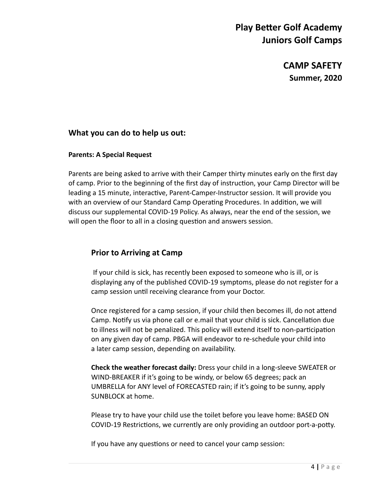**CAMP SAFETY Summer, 2020** 

### **What you can do to help us out:**

#### **Parents: A Special Request**

Parents are being asked to arrive with their Camper thirty minutes early on the first day of camp. Prior to the beginning of the first day of instruction, your Camp Director will be leading a 15 minute, interactive, Parent-Camper-Instructor session. It will provide you with an overview of our Standard Camp Operating Procedures. In addition, we will discuss our supplemental COVID-19 Policy. As always, near the end of the session, we will open the floor to all in a closing question and answers session.

### **Prior to Arriving at Camp**

If your child is sick, has recently been exposed to someone who is ill, or is displaying any of the published COVID-19 symptoms, please do not register for a camp session until receiving clearance from your Doctor.

Once registered for a camp session, if your child then becomes ill, do not attend Camp. Notify us via phone call or e.mail that your child is sick. Cancellation due to illness will not be penalized. This policy will extend itself to non-participation on any given day of camp. PBGA will endeavor to re-schedule your child into a later camp session, depending on availability.

**Check the weather forecast daily:** Dress your child in a long-sleeve SWEATER or WIND-BREAKER if it's going to be windy, or below 65 degrees; pack an UMBRELLA for ANY level of FORECASTED rain; if it's going to be sunny, apply SUNBLOCK at home.

 Please try to have your child use the toilet before you leave home: BASED ON COVID-19 Restrictions, we currently are only providing an outdoor port-a-potty.

If you have any questions or need to cancel your camp session: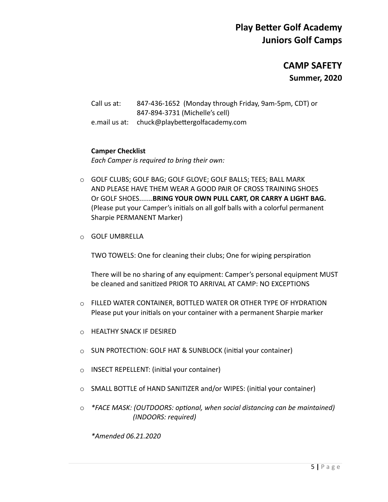**CAMP SAFETY Summer, 2020** 

 Call us at: 847-436-1652 (Monday through Friday, 9am-5pm, CDT) or 847-894-3731 (Michelle's cell) e.mail us at: chuck@playbettergolfacademy.com

#### **Camper Checklist**

*Each Camper is required to bring their own:* 

- o GOLF CLUBS; GOLF BAG; GOLF GLOVE; GOLF BALLS; TEES; BALL MARK AND PLEASE HAVE THEM WEAR A GOOD PAIR OF CROSS TRAINING SHOES Or GOLF SHOES.......**BRING YOUR OWN PULL CART, OR CARRY A LIGHT BAG.**  (Please put your Camper's initials on all golf balls with a colorful permanent Sharpie PERMANENT Marker)
- o GOLF UMBRELLA

TWO TOWELS: One for cleaning their clubs; One for wiping perspiration

 There will be no sharing of any equipment: Camper's personal equipment MUST be cleaned and sanitized PRIOR TO ARRIVAL AT CAMP: NO EXCEPTIONS

- o FILLED WATER CONTAINER, BOTTLED WATER OR OTHER TYPE OF HYDRATION Please put your initials on your container with a permanent Sharpie marker
- o HEALTHY SNACK IF DESIRED
- $\circ$  SUN PROTECTION: GOLF HAT & SUNBLOCK (initial your container)
- $\circ$  INSECT REPELLENT: (initial your container)
- $\circ$  SMALL BOTTLE of HAND SANITIZER and/or WIPES: (initial your container)
- $\circ$  \*FACE MASK: (OUTDOORS: optional, when social distancing can be maintained)  *(INDOORS: required)*

*\*Amended 06.21.2020*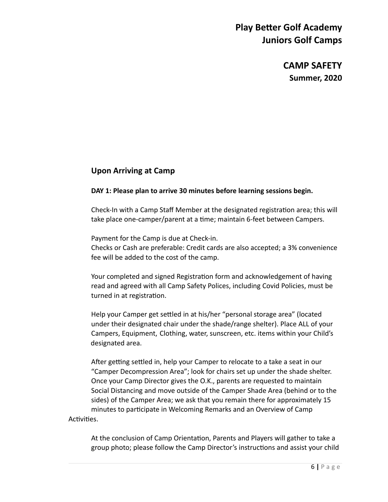**CAMP SAFETY Summer, 2020** 

### **Upon Arriving at Camp**

#### **DAY 1: Please plan to arrive 30 minutes before learning sessions begin.**

Check-In with a Camp Staff Member at the designated registration area; this will take place one-camper/parent at a time; maintain 6-feet between Campers.

Payment for the Camp is due at Check-in.

 Checks or Cash are preferable: Credit cards are also accepted; a 3% convenience fee will be added to the cost of the camp.

Your completed and signed Registration form and acknowledgement of having read and agreed with all Camp Safety Polices, including Covid Policies, must be turned in at registration.

Help your Camper get settled in at his/her "personal storage area" (located under their designated chair under the shade/range shelter). Place ALL of your Campers, Equipment, Clothing, water, sunscreen, etc. items within your Child's designated area.

After getting settled in, help your Camper to relocate to a take a seat in our "Camper Decompression Area"; look for chairs set up under the shade shelter. Once your Camp Director gives the O.K., parents are requested to maintain Social Distancing and move outside of the Camper Shade Area (behind or to the sides) of the Camper Area; we ask that you remain there for approximately 15 minutes to participate in Welcoming Remarks and an Overview of Camp Activities.

At the conclusion of Camp Orientation, Parents and Players will gather to take a group photo; please follow the Camp Director's instructions and assist your child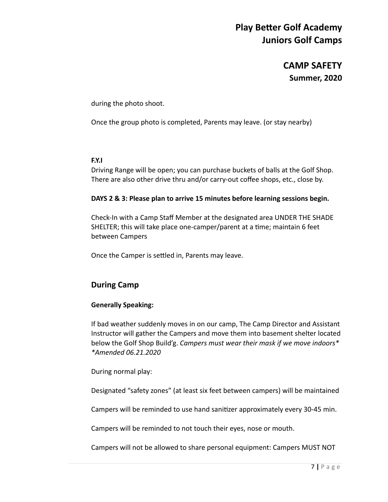**CAMP SAFETY Summer, 2020** 

during the photo shoot.

Once the group photo is completed, Parents may leave. (or stay nearby)

#### **F.Y.I**

 Driving Range will be open; you can purchase buckets of balls at the Golf Shop. There are also other drive thru and/or carry-out coffee shops, etc., close by.

#### **DAYS 2 & 3: Please plan to arrive 15 minutes before learning sessions begin.**

 Check-In with a Camp Staff Member at the designated area UNDER THE SHADE SHELTER; this will take place one-camper/parent at a time; maintain 6 feet between Campers

Once the Camper is settled in, Parents may leave.

### **During Camp**

#### **Generally Speaking:**

If bad weather suddenly moves in on our camp, The Camp Director and Assistant Instructor will gather the Campers and move them into basement shelter located below the Golf Shop Build'g. *Campers must wear their mask if we move indoors\* \*Amended 06.21.2020* 

During normal play:

Designated "safety zones" (at least six feet between campers) will be maintained

Campers will be reminded to use hand sanitizer approximately every 30-45 min.

Campers will be reminded to not touch their eyes, nose or mouth.

Campers will not be allowed to share personal equipment: Campers MUST NOT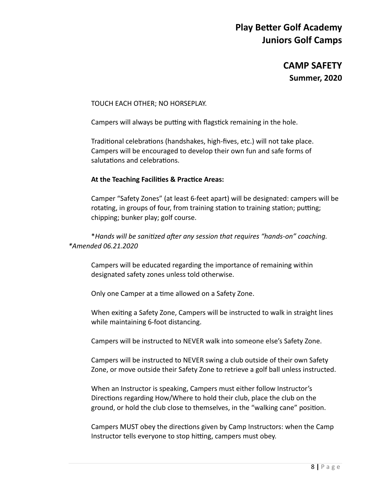**CAMP SAFETY Summer, 2020** 

TOUCH EACH OTHER; NO HORSEPLAY.

Campers will always be putting with flagstick remaining in the hole.

Traditional celebrations (handshakes, high-fives, etc.) will not take place. Campers will be encouraged to develop their own fun and safe forms of salutations and celebrations.

#### At the Teaching Facilities & Practice Areas:

 Camper "Safety Zones" (at least 6-feet apart) will be designated: campers will be rotating, in groups of four, from training station to training station; putting; chipping; bunker play; golf course.

\**Hands will be sanitized after any session that requires "hands-on" coaching. \*Amended 06.21.2020* 

 Campers will be educated regarding the importance of remaining within designated safety zones unless told otherwise.

Only one Camper at a time allowed on a Safety Zone.

When exiting a Safety Zone, Campers will be instructed to walk in straight lines while maintaining 6-foot distancing.

Campers will be instructed to NEVER walk into someone else's Safety Zone.

 Campers will be instructed to NEVER swing a club outside of their own Safety Zone, or move outside their Safety Zone to retrieve a golf ball unless instructed.

 When an Instructor is speaking, Campers must either follow Instructor's Directions regarding How/Where to hold their club, place the club on the ground, or hold the club close to themselves, in the "walking cane" position.

Campers MUST obey the directions given by Camp Instructors: when the Camp Instructor tells everyone to stop hitting, campers must obey.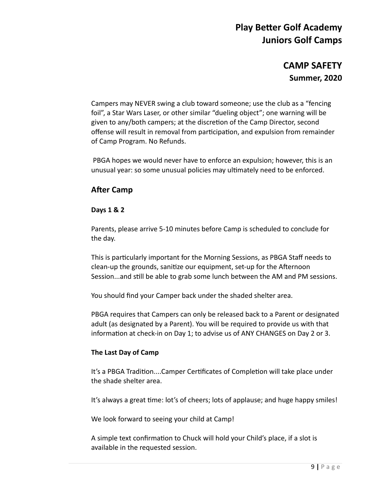### **CAMP SAFETY Summer, 2020**

 Campers may NEVER swing a club toward someone; use the club as a "fencing foil", a Star Wars Laser, or other similar "dueling object"; one warning will be given to any/both campers; at the discretion of the Camp Director, second offense will result in removal from participation, and expulsion from remainder of Camp Program. No Refunds.

 PBGA hopes we would never have to enforce an expulsion; however, this is an unusual year: so some unusual policies may ultimately need to be enforced.

### **After Camp**

#### **Days 1 & 2**

Parents, please arrive 5-10 minutes before Camp is scheduled to conclude for the day.

This is particularly important for the Morning Sessions, as PBGA Staff needs to clean-up the grounds, sanitize our equipment, set-up for the Afternoon Session...and still be able to grab some lunch between the AM and PM sessions.

You should find your Camper back under the shaded shelter area.

 PBGA requires that Campers can only be released back to a Parent or designated adult (as designated by a Parent). You will be required to provide us with that information at check-in on Day 1; to advise us of ANY CHANGES on Day 2 or 3.

#### **The Last Day of Camp**

It's a PBGA Tradition....Camper Certificates of Completion will take place under the shade shelter area.

It's always a great time: lot's of cheers; lots of applause; and huge happy smiles!

We look forward to seeing your child at Camp!

A simple text confirmation to Chuck will hold your Child's place, if a slot is available in the requested session.